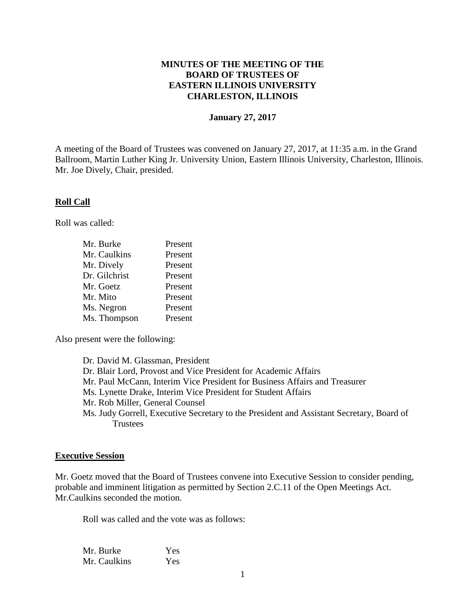# **MINUTES OF THE MEETING OF THE BOARD OF TRUSTEES OF EASTERN ILLINOIS UNIVERSITY CHARLESTON, ILLINOIS**

#### **January 27, 2017**

A meeting of the Board of Trustees was convened on January 27, 2017, at 11:35 a.m. in the Grand Ballroom, Martin Luther King Jr. University Union, Eastern Illinois University, Charleston, Illinois. Mr. Joe Dively, Chair, presided.

## **Roll Call**

Roll was called:

| Mr. Burke     | Present |
|---------------|---------|
| Mr. Caulkins  | Present |
| Mr. Dively    | Present |
| Dr. Gilchrist | Present |
| Mr. Goetz     | Present |
| Mr. Mito      | Present |
| Ms. Negron    | Present |
| Ms. Thompson  | Present |

Also present were the following:

Dr. David M. Glassman, President Dr. Blair Lord, Provost and Vice President for Academic Affairs Mr. Paul McCann, Interim Vice President for Business Affairs and Treasurer Ms. Lynette Drake, Interim Vice President for Student Affairs Mr. Rob Miller, General Counsel Ms. Judy Gorrell, Executive Secretary to the President and Assistant Secretary, Board of **Trustees** 

#### **Executive Session**

Mr. Goetz moved that the Board of Trustees convene into Executive Session to consider pending, probable and imminent litigation as permitted by Section 2.C.11 of the Open Meetings Act. Mr.Caulkins seconded the motion.

Roll was called and the vote was as follows:

| Mr. Burke    | Yes |
|--------------|-----|
| Mr. Caulkins | Yes |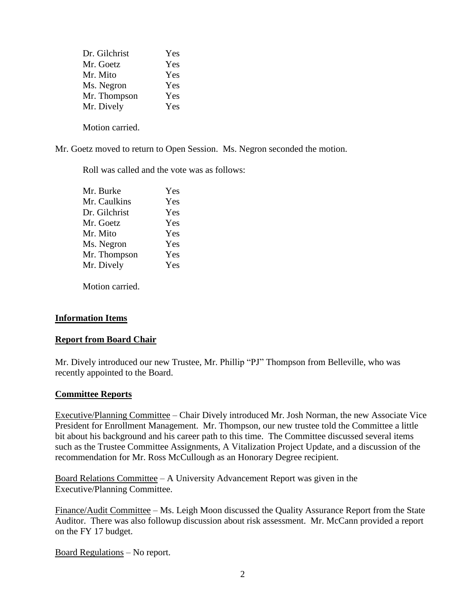| Dr. Gilchrist | Yes |
|---------------|-----|
| Mr. Goetz     | Yes |
| Mr. Mito      | Yes |
| Ms. Negron    | Yes |
| Mr. Thompson  | Yes |
| Mr. Dively    | Yes |
|               |     |

Motion carried.

Mr. Goetz moved to return to Open Session. Ms. Negron seconded the motion.

Roll was called and the vote was as follows:

| Mr. Burke     | Yes |
|---------------|-----|
| Mr. Caulkins  | Yes |
| Dr. Gilchrist | Yes |
| Mr. Goetz     | Yes |
| Mr. Mito      | Yes |
| Ms. Negron    | Yes |
| Mr. Thompson  | Yes |
| Mr. Dively    | Yes |
|               |     |

Motion carried.

## **Information Items**

## **Report from Board Chair**

Mr. Dively introduced our new Trustee, Mr. Phillip "PJ" Thompson from Belleville, who was recently appointed to the Board.

## **Committee Reports**

Executive/Planning Committee – Chair Dively introduced Mr. Josh Norman, the new Associate Vice President for Enrollment Management. Mr. Thompson, our new trustee told the Committee a little bit about his background and his career path to this time. The Committee discussed several items such as the Trustee Committee Assignments, A Vitalization Project Update, and a discussion of the recommendation for Mr. Ross McCullough as an Honorary Degree recipient.

Board Relations Committee – A University Advancement Report was given in the Executive/Planning Committee.

Finance/Audit Committee – Ms. Leigh Moon discussed the Quality Assurance Report from the State Auditor. There was also followup discussion about risk assessment. Mr. McCann provided a report on the FY 17 budget.

Board Regulations – No report.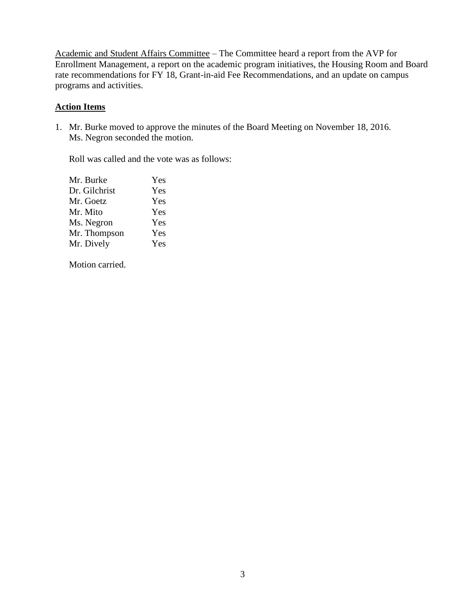Academic and Student Affairs Committee – The Committee heard a report from the AVP for Enrollment Management, a report on the academic program initiatives, the Housing Room and Board rate recommendations for FY 18, Grant-in-aid Fee Recommendations, and an update on campus programs and activities.

# **Action Items**

1. Mr. Burke moved to approve the minutes of the Board Meeting on November 18, 2016. Ms. Negron seconded the motion.

Roll was called and the vote was as follows:

| Yes |
|-----|
| Yes |
| Yes |
| Yes |
| Yes |
| Yes |
| Yes |
|     |

Motion carried.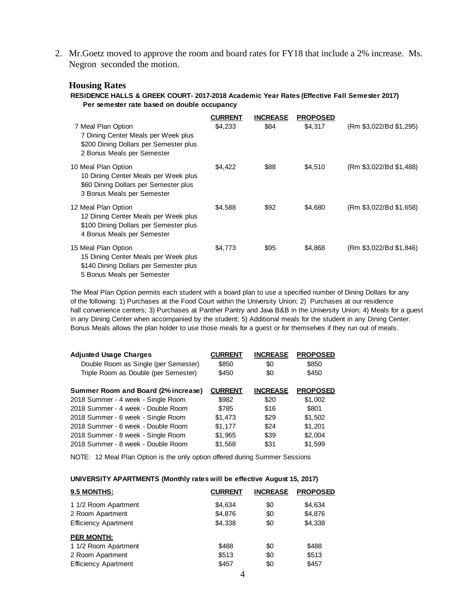2. Mr.Goetz moved to approve the room and board rates for FY18 that include a 2% increase. Ms. Negron seconded the motion.

#### **Housing Rates**

**RESIDENCE HALLS & GREEK COURT- 2017-2018 Academic Year Rates (Effective Fall Semester 2017) Per semester rate based on double occupancy**

|                                                                                                                                     | <b>CURRENT</b> | <b>INCREASE</b> | <b>PROPOSED</b> |                         |
|-------------------------------------------------------------------------------------------------------------------------------------|----------------|-----------------|-----------------|-------------------------|
| 7 Meal Plan Option<br>7 Dining Center Meals per Week plus<br>\$200 Dining Dollars per Semester plus<br>2 Bonus Meals per Semester   | \$4,233        | \$84            | \$4,317         | (Rm \$3,022/Bd \$1,295) |
| 10 Meal Plan Option<br>10 Dining Center Meals per Week plus<br>\$60 Dining Dollars per Semester plus<br>3 Bonus Meals per Semester  | \$4.422        | \$88            | \$4,510         | (Rm \$3,022/Bd \$1,488) |
| 12 Meal Plan Option<br>12 Dining Center Meals per Week plus<br>\$100 Dining Dollars per Semester plus<br>4 Bonus Meals per Semester | \$4,588        | \$92            | \$4,680         | (Rm \$3,022/Bd \$1,658) |
| 15 Meal Plan Option<br>15 Dining Center Meals per Week plus<br>\$140 Dining Dollars per Semester plus<br>5 Bonus Meals per Semester | \$4,773        | \$95            | \$4,868         | (Rm \$3,022/Bd \$1,846) |

The Meal Plan Option permits each student with a board plan to use a specified number of Dining Dollars for any of the following: 1) Purchases at the Food Court within the University Union; 2) Purchases at our residence hall convenience centers; 3) Purchases at Panther Pantry and Java B&B in the University Union; 4) Meals for a guest in any Dining Center when accompanied by the student; 5) Additional meals for the student in any Dining Center. Bonus Meals allows the plan holder to use those meals for a guest or for themselves if they run out of meals.

| <b>Adjusted Usage Charges</b>        | <b>CURRENT</b> | <b>INCREASE</b> | <b>PROPOSED</b> |
|--------------------------------------|----------------|-----------------|-----------------|
| Double Room as Single (per Semester) | \$850          | \$0             | \$850           |
| Triple Room as Double (per Semester) | \$450          | \$0             | \$450           |
| Summer Room and Board (2% increase)  | <b>CURRENT</b> | <b>INCREASE</b> | <b>PROPOSED</b> |
| 2018 Summer - 4 week - Single Room   | \$982          | \$20            | \$1,002         |
| 2018 Summer - 4 week - Double Room   | \$785          | \$16            | \$801           |
| 2018 Summer - 6 week - Single Room   | \$1,473        | \$29            | \$1,502         |
| 2018 Summer - 6 week - Double Room   | \$1.177        | \$24            | \$1,201         |
| 2018 Summer - 8 week - Single Room   | \$1,965        | \$39            | \$2,004         |
| 2018 Summer - 8 week - Double Room   | \$1,568        | \$31            | \$1,599         |

NOTE: 12 Meal Plan Option is the only option offered during Summer Sessions

#### **UNIVERSITY APARTMENTS (Monthly rates will be effective August 15, 2017)**

| 9.5 MONTHS:                 | <b>CURRENT</b> | <b>INCREASE</b> | <b>PROPOSED</b> |
|-----------------------------|----------------|-----------------|-----------------|
| 1 1/2 Room Apartment        | \$4.634        | \$0             | \$4,634         |
| 2 Room Apartment            | \$4,876        | \$0             | \$4,876         |
| <b>Efficiency Apartment</b> | \$4.338        | \$0             | \$4,338         |
| <b>PER MONTH:</b>           |                |                 |                 |
| 1 1/2 Room Apartment        | \$488          | \$0             | \$488           |
| 2 Room Apartment            | \$513          | \$0             | \$513           |
| <b>Efficiency Apartment</b> | \$457          | \$0             | \$457           |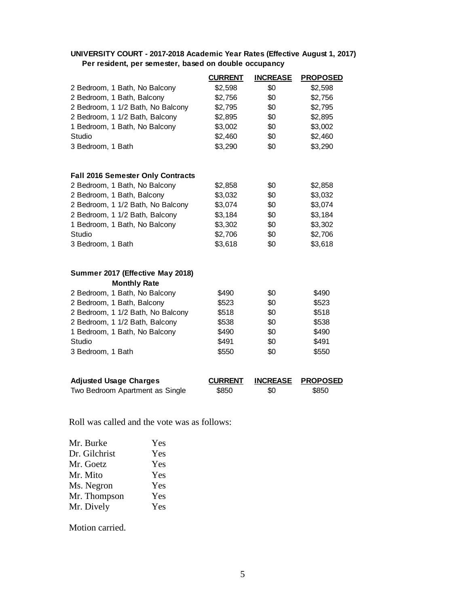## **UNIVERSITY COURT - 2017-2018 Academic Year Rates (Effective August 1, 2017) Per resident, per semester, based on double occupancy**

|                                          | <b>CURRENT</b> | <b>INCREASE</b> | <b>PROPOSED</b> |
|------------------------------------------|----------------|-----------------|-----------------|
| 2 Bedroom, 1 Bath, No Balcony            | \$2,598        | \$0             | \$2,598         |
| 2 Bedroom, 1 Bath, Balcony               | \$2,756        | \$0             | \$2,756         |
| 2 Bedroom, 1 1/2 Bath, No Balcony        | \$2,795        | \$0             | \$2,795         |
| 2 Bedroom, 1 1/2 Bath, Balcony           | \$2,895        | \$0             | \$2,895         |
| 1 Bedroom, 1 Bath, No Balcony            | \$3,002        | \$0             | \$3,002         |
| Studio                                   | \$2,460        | \$0             | \$2,460         |
| 3 Bedroom, 1 Bath                        | \$3,290        | \$0             | \$3,290         |
| <b>Fall 2016 Semester Only Contracts</b> |                |                 |                 |
| 2 Bedroom, 1 Bath, No Balcony            | \$2,858        | \$0             | \$2,858         |
| 2 Bedroom, 1 Bath, Balcony               | \$3,032        | \$0             | \$3,032         |
| 2 Bedroom, 1 1/2 Bath, No Balcony        | \$3,074        | \$0             | \$3,074         |
| 2 Bedroom, 1 1/2 Bath, Balcony           | \$3,184        | \$0             | \$3,184         |
| 1 Bedroom, 1 Bath, No Balcony            | \$3,302        | \$0             | \$3,302         |
| Studio                                   | \$2,706        | \$0             | \$2,706         |
| 3 Bedroom, 1 Bath                        | \$3,618        | \$0             | \$3,618         |
| Summer 2017 (Effective May 2018)         |                |                 |                 |
| <b>Monthly Rate</b>                      |                |                 |                 |
| 2 Bedroom, 1 Bath, No Balcony            | \$490          | \$0             | \$490           |
| 2 Bedroom, 1 Bath, Balcony               | \$523          | \$0             | \$523           |
| 2 Bedroom, 1 1/2 Bath, No Balcony        | \$518          | \$0             | \$518           |
| 2 Bedroom, 1 1/2 Bath, Balcony           | \$538          | \$0             | \$538           |
| 1 Bedroom, 1 Bath, No Balcony            | \$490          | \$0             | \$490           |
| Studio                                   | \$491          | \$0             | \$491           |
| 3 Bedroom, 1 Bath                        | \$550          | \$0             | \$550           |
| <b>Adjusted Usage Charges</b>            | <b>CURRENT</b> | <b>INCREASE</b> | <b>PROPOSED</b> |
| Two Bedroom Apartment as Single          | \$850          | \$0             | \$850           |

Roll was called and the vote was as follows:

| Mr. Burke     | Yes |
|---------------|-----|
| Dr. Gilchrist | Yes |
| Mr. Goetz     | Yes |
| Mr. Mito      | Yes |
| Ms. Negron    | Yes |
| Mr. Thompson  | Yes |
| Mr. Dively    | Yes |

Motion carried.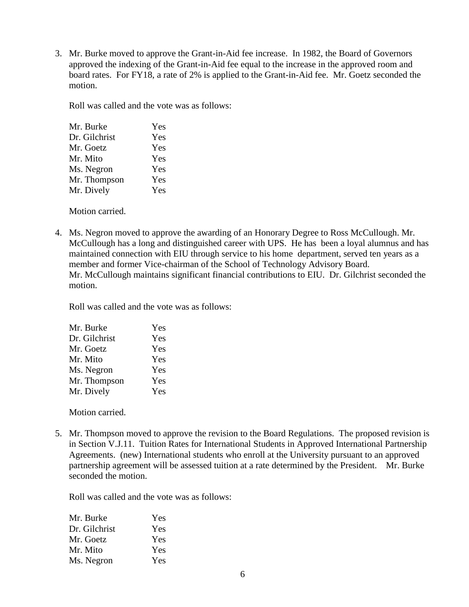3. Mr. Burke moved to approve the Grant-in-Aid fee increase. In 1982, the Board of Governors approved the indexing of the Grant-in-Aid fee equal to the increase in the approved room and board rates. For FY18, a rate of 2% is applied to the Grant-in-Aid fee. Mr. Goetz seconded the motion.

Roll was called and the vote was as follows:

| Mr. Burke     | Yes |
|---------------|-----|
| Dr. Gilchrist | Yes |
| Mr. Goetz     | Yes |
| Mr. Mito      | Yes |
| Ms. Negron    | Yes |
| Mr. Thompson  | Yes |
| Mr. Dively    | Yes |
|               |     |

Motion carried.

4. Ms. Negron moved to approve the awarding of an Honorary Degree to Ross McCullough. Mr. McCullough has a long and distinguished career with UPS. He has been a loyal alumnus and has maintained connection with EIU through service to his home department, served ten years as a member and former Vice-chairman of the School of Technology Advisory Board. Mr. McCullough maintains significant financial contributions to EIU. Dr. Gilchrist seconded the motion.

Roll was called and the vote was as follows:

| Mr. Burke     | Yes |
|---------------|-----|
| Dr. Gilchrist | Yes |
| Mr. Goetz     | Yes |
| Mr. Mito      | Yes |
| Ms. Negron    | Yes |
| Mr. Thompson  | Yes |
| Mr. Dively    | Yes |
|               |     |

Motion carried.

5. Mr. Thompson moved to approve the revision to the Board Regulations. The proposed revision is in Section V.J.11. Tuition Rates for International Students in Approved International Partnership Agreements. (new) International students who enroll at the University pursuant to an approved partnership agreement will be assessed tuition at a rate determined by the President. Mr. Burke seconded the motion.

Roll was called and the vote was as follows:

| Mr. Burke     | Yes        |
|---------------|------------|
| Dr. Gilchrist | Yes        |
| Mr. Goetz     | <b>Yes</b> |
| Mr. Mito      | Yes        |
| Ms. Negron    | <b>Yes</b> |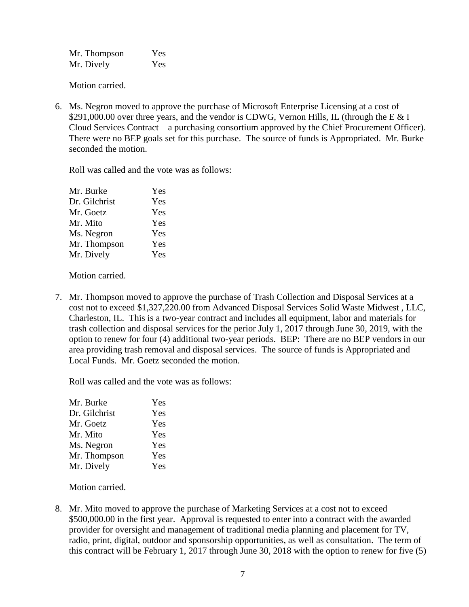| Mr. Thompson | Yes |
|--------------|-----|
| Mr. Dively   | Yes |

Motion carried.

6. Ms. Negron moved to approve the purchase of Microsoft Enterprise Licensing at a cost of \$291,000.00 over three years, and the vendor is CDWG, Vernon Hills, IL (through the E  $& 1$ Cloud Services Contract – a purchasing consortium approved by the Chief Procurement Officer). There were no BEP goals set for this purchase. The source of funds is Appropriated. Mr. Burke seconded the motion.

Roll was called and the vote was as follows:

| Mr. Burke     | Yes |
|---------------|-----|
| Dr. Gilchrist | Yes |
| Mr. Goetz     | Yes |
| Mr. Mito      | Yes |
| Ms. Negron    | Yes |
| Mr. Thompson  | Yes |
| Mr. Dively    | Yes |
|               |     |

Motion carried.

7. Mr. Thompson moved to approve the purchase of Trash Collection and Disposal Services at a cost not to exceed \$1,327,220.00 from Advanced Disposal Services Solid Waste Midwest , LLC, Charleston, IL. This is a two-year contract and includes all equipment, labor and materials for trash collection and disposal services for the perior July 1, 2017 through June 30, 2019, with the option to renew for four (4) additional two-year periods. BEP: There are no BEP vendors in our area providing trash removal and disposal services. The source of funds is Appropriated and Local Funds. Mr. Goetz seconded the motion.

Roll was called and the vote was as follows:

| Mr. Burke     | Yes |
|---------------|-----|
| Dr. Gilchrist | Yes |
| Mr. Goetz     | Yes |
| Mr. Mito      | Yes |
| Ms. Negron    | Yes |
| Mr. Thompson  | Yes |
| Mr. Dively    | Yes |

Motion carried.

8. Mr. Mito moved to approve the purchase of Marketing Services at a cost not to exceed \$500,000.00 in the first year. Approval is requested to enter into a contract with the awarded provider for oversight and management of traditional media planning and placement for TV, radio, print, digital, outdoor and sponsorship opportunities, as well as consultation. The term of this contract will be February 1, 2017 through June 30, 2018 with the option to renew for five (5)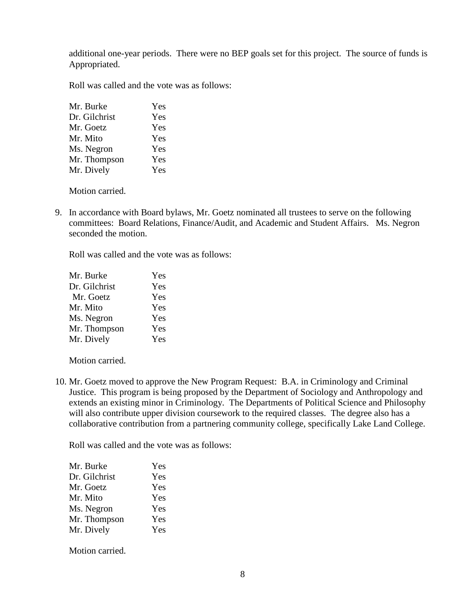additional one-year periods. There were no BEP goals set for this project. The source of funds is Appropriated.

Roll was called and the vote was as follows:

| Mr. Burke     | Yes |
|---------------|-----|
| Dr. Gilchrist | Yes |
| Mr. Goetz     | Yes |
| Mr. Mito      | Yes |
| Ms. Negron    | Yes |
| Mr. Thompson  | Yes |
| Mr. Dively    | Yes |

Motion carried.

9. In accordance with Board bylaws, Mr. Goetz nominated all trustees to serve on the following committees: Board Relations, Finance/Audit, and Academic and Student Affairs. Ms. Negron seconded the motion.

Roll was called and the vote was as follows:

| Mr. Burke     | Yes |
|---------------|-----|
| Dr. Gilchrist | Yes |
| Mr. Goetz     | Yes |
| Mr. Mito      | Yes |
| Ms. Negron    | Yes |
| Mr. Thompson  | Yes |
| Mr. Dively    | Yes |

Motion carried.

10. Mr. Goetz moved to approve the New Program Request: B.A. in Criminology and Criminal Justice. This program is being proposed by the Department of Sociology and Anthropology and extends an existing minor in Criminology. The Departments of Political Science and Philosophy will also contribute upper division coursework to the required classes. The degree also has a collaborative contribution from a partnering community college, specifically Lake Land College.

Roll was called and the vote was as follows:

| Mr. Burke     | Yes |
|---------------|-----|
| Dr. Gilchrist | Yes |
| Mr. Goetz     | Yes |
| Mr. Mito      | Yes |
| Ms. Negron    | Yes |
| Mr. Thompson  | Yes |
| Mr. Dively    | Yes |
|               |     |

Motion carried.